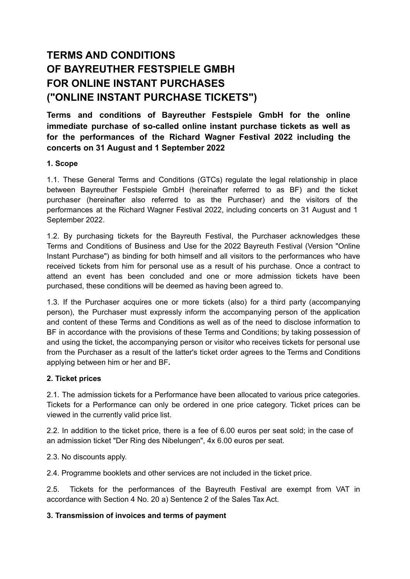# **TERMS AND CONDITIONS OF BAYREUTHER FESTSPIELE GMBH FOR ONLINE INSTANT PURCHASES ("ONLINE INSTANT PURCHASE TICKETS")**

**Terms and conditions of Bayreuther Festspiele GmbH for the online immediate purchase of so-called online instant purchase tickets as well as for the performances of the Richard Wagner Festival 2022 including the concerts on 31 August and 1 September 2022**

## **1. Scope**

1.1. These General Terms and Conditions (GTCs) regulate the legal relationship in place between Bayreuther Festspiele GmbH (hereinafter referred to as BF) and the ticket purchaser (hereinafter also referred to as the Purchaser) and the visitors of the performances at the Richard Wagner Festival 2022, including concerts on 31 August and 1 September 2022.

1.2. By purchasing tickets for the Bayreuth Festival, the Purchaser acknowledges these Terms and Conditions of Business and Use for the 2022 Bayreuth Festival (Version "Online Instant Purchase") as binding for both himself and all visitors to the performances who have received tickets from him for personal use as a result of his purchase. Once a contract to attend an event has been concluded and one or more admission tickets have been purchased, these conditions will be deemed as having been agreed to.

1.3. If the Purchaser acquires one or more tickets (also) for a third party (accompanying person), the Purchaser must expressly inform the accompanying person of the application and content of these Terms and Conditions as well as of the need to disclose information to BF in accordance with the provisions of these Terms and Conditions; by taking possession of and using the ticket, the accompanying person or visitor who receives tickets for personal use from the Purchaser as a result of the latter's ticket order agrees to the Terms and Conditions applying between him or her and BF**.**

# **2. Ticket prices**

2.1. The admission tickets for a Performance have been allocated to various price categories. Tickets for a Performance can only be ordered in one price category. Ticket prices can be viewed in the currently valid price list.

2.2. In addition to the ticket price, there is a fee of 6.00 euros per seat sold; in the case of an admission ticket "Der Ring des Nibelungen", 4x 6.00 euros per seat.

2.3. No discounts apply.

2.4. Programme booklets and other services are not included in the ticket price.

2.5. Tickets for the performances of the Bayreuth Festival are exempt from VAT in accordance with Section 4 No. 20 a) Sentence 2 of the Sales Tax Act.

#### **3. Transmission of invoices and terms of payment**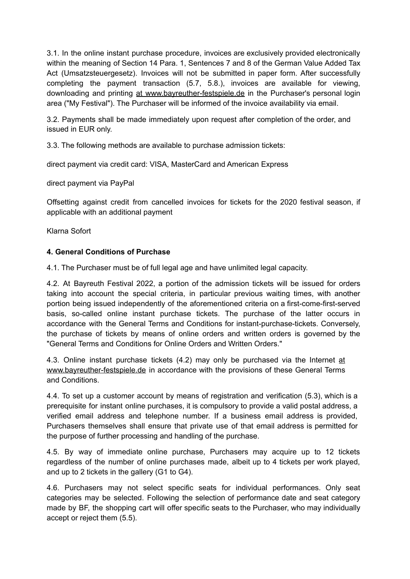3.1. In the online instant purchase procedure, invoices are exclusively provided electronically within the meaning of Section 14 Para. 1, Sentences 7 and 8 of the German Value Added Tax Act (Umsatzsteuergesetz). Invoices will not be submitted in paper form. After successfully completing the payment transaction (5.7, 5.8.), invoices are available for viewing, downloading and printing at [www.bayreuther-festspiele.de](http://www.bayreuther-festspiele.de) in the Purchaser's personal login area ("My Festival"). The Purchaser will be informed of the invoice availability via email.

3.2. Payments shall be made immediately upon request after completion of the order, and issued in EUR only.

3.3. The following methods are available to purchase admission tickets:

direct payment via credit card: VISA, MasterCard and American Express

direct payment via PayPal

Offsetting against credit from cancelled invoices for tickets for the 2020 festival season, if applicable with an additional payment

Klarna Sofort

## **4. General Conditions of Purchase**

4.1. The Purchaser must be of full legal age and have unlimited legal capacity.

4.2. At Bayreuth Festival 2022, a portion of the admission tickets will be issued for orders taking into account the special criteria, in particular previous waiting times, with another portion being issued independently of the aforementioned criteria on a first-come-first-served basis, so-called online instant purchase tickets. The purchase of the latter occurs in accordance with the General Terms and Conditions for instant-purchase-tickets. Conversely, the purchase of tickets by means of online orders and written orders is governed by the "General Terms and Conditions for Online Orders and Written Orders."

4.3. Online instant purchase tickets (4.2) may only be purchased via the Internet [at](http://www.bayreuther-festspiele.de) [www.bayreuther-festspiele.de](http://www.bayreuther-festspiele.de) in accordance with the provisions of these General Terms and Conditions.

4.4. To set up a customer account by means of registration and verification (5.3), which is a prerequisite for instant online purchases, it is compulsory to provide a valid postal address, a verified email address and telephone number. If a business email address is provided, Purchasers themselves shall ensure that private use of that email address is permitted for the purpose of further processing and handling of the purchase.

4.5. By way of immediate online purchase, Purchasers may acquire up to 12 tickets regardless of the number of online purchases made, albeit up to 4 tickets per work played, and up to 2 tickets in the gallery (G1 to G4).

4.6. Purchasers may not select specific seats for individual performances. Only seat categories may be selected. Following the selection of performance date and seat category made by BF, the shopping cart will offer specific seats to the Purchaser, who may individually accept or reject them (5.5).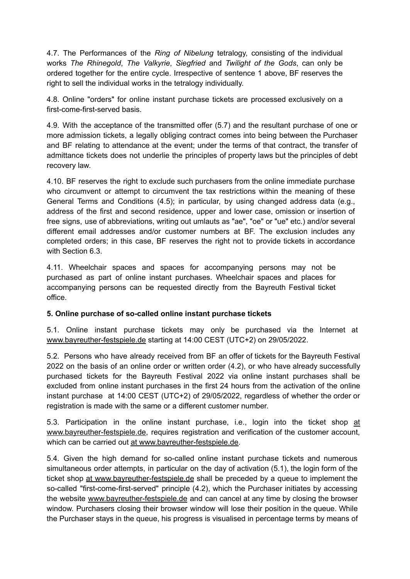4.7. The Performances of the *Ring of Nibelung* tetralogy, consisting of the individual works *The Rhinegold*, *The Valkyrie*, *Siegfried* and *Twilight of the Gods*, can only be ordered together for the entire cycle. Irrespective of sentence 1 above, BF reserves the right to sell the individual works in the tetralogy individually.

4.8. Online "orders" for online instant purchase tickets are processed exclusively on a first-come-first-served basis.

4.9. With the acceptance of the transmitted offer (5.7) and the resultant purchase of one or more admission tickets, a legally obliging contract comes into being between the Purchaser and BF relating to attendance at the event; under the terms of that contract, the transfer of admittance tickets does not underlie the principles of property laws but the principles of debt recovery law.

4.10. BF reserves the right to exclude such purchasers from the online immediate purchase who circumvent or attempt to circumvent the tax restrictions within the meaning of these General Terms and Conditions (4.5); in particular, by using changed address data (e.g., address of the first and second residence, upper and lower case, omission or insertion of free signs, use of abbreviations, writing out umlauts as "ae", "oe" or "ue" etc.) and/or several different email addresses and/or customer numbers at BF. The exclusion includes any completed orders; in this case, BF reserves the right not to provide tickets in accordance with Section 6.3.

4.11. Wheelchair spaces and spaces for accompanying persons may not be purchased as part of online instant purchases. Wheelchair spaces and places for accompanying persons can be requested directly from the Bayreuth Festival ticket office.

#### **5. Online purchase of so-called online instant purchase tickets**

5.1. Online instant purchase tickets may only be purchased via the Internet at [www.bayreuther-festspiele.de](http://www.bayreuther-festspiele.de) starting at 14:00 CEST (UTC+2) on 29/05/2022.

5.2. Persons who have already received from BF an offer of tickets for the Bayreuth Festival 2022 on the basis of an online order or written order (4.2), or who have already successfully purchased tickets for the Bayreuth Festival 2022 via online instant purchases shall be excluded from online instant purchases in the first 24 hours from the activation of the online instant purchase at 14:00 CEST (UTC+2) of 29/05/2022, regardless of whether the order or registration is made with the same or a different customer number.

5.3. Particip[at](http://www.bayreuther-festspiele.de)ion in the online instant purchase, i.e., login into the ticket shop at [www.bayreuther-festspiele.de](http://www.bayreuther-festspiele.de), requires registration and verification of the customer account, which can be carried out at [www.bayreuther-festspiele.de.](http://www.bayreuther-festspiele.de)

5.4. Given the high demand for so-called online instant purchase tickets and numerous simultaneous order attempts, in particular on the day of activation (5.1), the login form of the ticket shop at [www.bayreuther-festspiele.de](http://www.bayreuther-festspiele.de) shall be preceded by a queue to implement the so-called "first-come-first-served" principle (4.2), which the Purchaser initiates by accessing the website [www.bayreuther-festspiele.de](http://www.bayreuther-festspiele.de) and can cancel at any time by closing the browser window. Purchasers closing their browser window will lose their position in the queue. While the Purchaser stays in the queue, his progress is visualised in percentage terms by means of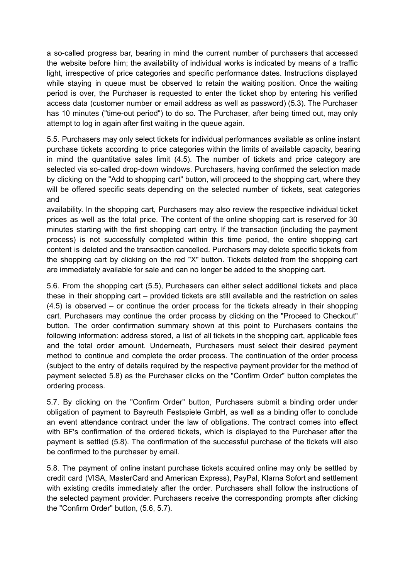a so-called progress bar, bearing in mind the current number of purchasers that accessed the website before him; the availability of individual works is indicated by means of a traffic light, irrespective of price categories and specific performance dates. Instructions displayed while staying in queue must be observed to retain the waiting position. Once the waiting period is over, the Purchaser is requested to enter the ticket shop by entering his verified access data (customer number or email address as well as password) (5.3). The Purchaser has 10 minutes ("time-out period") to do so. The Purchaser, after being timed out, may only attempt to log in again after first waiting in the queue again.

5.5. Purchasers may only select tickets for individual performances available as online instant purchase tickets according to price categories within the limits of available capacity, bearing in mind the quantitative sales limit (4.5). The number of tickets and price category are selected via so-called drop-down windows. Purchasers, having confirmed the selection made by clicking on the "Add to shopping cart" button, will proceed to the shopping cart, where they will be offered specific seats depending on the selected number of tickets, seat categories and

availability. In the shopping cart, Purchasers may also review the respective individual ticket prices as well as the total price. The content of the online shopping cart is reserved for 30 minutes starting with the first shopping cart entry. If the transaction (including the payment process) is not successfully completed within this time period, the entire shopping cart content is deleted and the transaction cancelled. Purchasers may delete specific tickets from the shopping cart by clicking on the red "X" button. Tickets deleted from the shopping cart are immediately available for sale and can no longer be added to the shopping cart.

5.6. From the shopping cart (5.5), Purchasers can either select additional tickets and place these in their shopping cart – provided tickets are still available and the restriction on sales (4.5) is observed – or continue the order process for the tickets already in their shopping cart. Purchasers may continue the order process by clicking on the "Proceed to Checkout" button. The order confirmation summary shown at this point to Purchasers contains the following information: address stored, a list of all tickets in the shopping cart, applicable fees and the total order amount. Underneath, Purchasers must select their desired payment method to continue and complete the order process. The continuation of the order process (subject to the entry of details required by the respective payment provider for the method of payment selected 5.8) as the Purchaser clicks on the "Confirm Order" button completes the ordering process.

5.7. By clicking on the "Confirm Order" button, Purchasers submit a binding order under obligation of payment to Bayreuth Festspiele GmbH, as well as a binding offer to conclude an event attendance contract under the law of obligations. The contract comes into effect with BF's confirmation of the ordered tickets, which is displayed to the Purchaser after the payment is settled (5.8). The confirmation of the successful purchase of the tickets will also be confirmed to the purchaser by email.

5.8. The payment of online instant purchase tickets acquired online may only be settled by credit card (VISA, MasterCard and American Express), PayPal, Klarna Sofort and settlement with existing credits immediately after the order. Purchasers shall follow the instructions of the selected payment provider. Purchasers receive the corresponding prompts after clicking the "Confirm Order" button, (5.6, 5.7).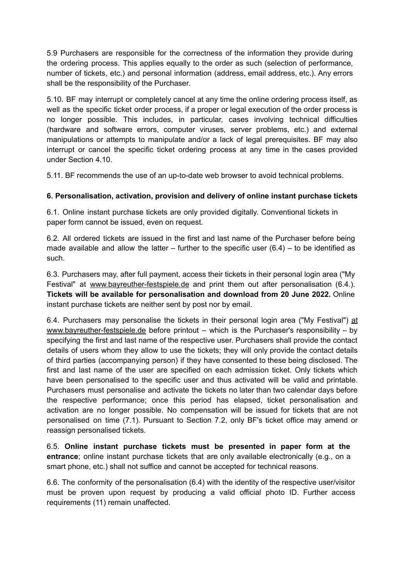5.9 Purchasers are responsible for the correctness of the information they provide during the ordering process. This applies equally to the order as such (selection of performance, number of tickets, etc.) and personal information (address, email address, etc.). Any errors shall be the responsibility of the Purchaser.

5.10. BF may interrupt or completely cancel at any time the online ordering process itself, as well as the specific ticket order process, if a proper or legal execution of the order process is no longer possible. This includes, in particular, cases involving technical difficulties (hardware and software errors, computer viruses, server problems, etc.) and external manipulations or attempts to manipulate and/or a lack of legal prerequisites. BF may also interrupt or cancel the specific ticket ordering process at any time in the cases provided under Section 4.10.

5.11. BF recommends the use of an up-to-date web browser to avoid technical problems.

## **6. Personalisation, activation, provision and delivery of online instant purchase tickets**

6.1. Online instant purchase tickets are only provided digitally. Conventional tickets in paper form cannot be issued, even on request.

6.2. All ordered tickets are issued in the first and last name of the Purchaser before being made available and allow the latter – further to the specific user  $(6.4)$  – to be identified as such.

6.3. Purchasers may, after full payment, access their tickets in their personal login area ("My Festival" at [www.bayreuther-festspiele.de](http://www.bayreuther-festspiele.de) and print them out after personalisation (6.4.). **Tickets will be available for personalisation and download from 20 June 2022.** Online instant purchase tickets are neither sent by post nor by email.

6.4. Purchasers may personalise the tickets in their personal login area ("My Festival") [at](http://www.bayreuther-festspiele.de) [www.bayreuther-festspiele.de](http://www.bayreuther-festspiele.de) before printout – which is the Purchaser's responsibility – by specifying the first and last name of the respective user. Purchasers shall provide the contact details of users whom they allow to use the tickets; they will only provide the contact details of third parties (accompanying person) if they have consented to these being disclosed. The first and last name of the user are specified on each admission ticket. Only tickets which have been personalised to the specific user and thus activated will be valid and printable. Purchasers must personalise and activate the tickets no later than two calendar days before the respective performance; once this period has elapsed, ticket personalisation and activation are no longer possible. No compensation will be issued for tickets that are not personalised on time (7.1). Pursuant to Section 7.2, only BF's ticket office may amend or reassign personalised tickets.

6.5. **Online instant purchase tickets must be presented in paper form at the entrance**; online instant purchase tickets that are only available electronically (e.g., on a smart phone, etc.) shall not suffice and cannot be accepted for technical reasons.

6.6. The conformity of the personalisation (6.4) with the identity of the respective user/visitor must be proven upon request by producing a valid official photo ID. Further access requirements (11) remain unaffected.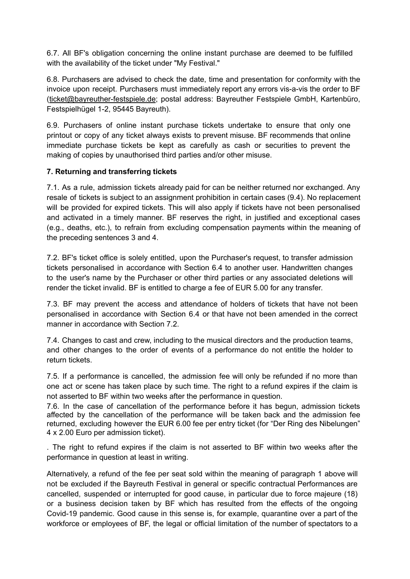6.7. All BF's obligation concerning the online instant purchase are deemed to be fulfilled with the availability of the ticket under "My Festival."

6.8. Purchasers are advised to check the date, time and presentation for conformity with the invoice upon receipt. Purchasers must immediately report any errors vis-a-vis the order to BF ([ticket@bayreuther-festspiele.de](mailto:ticket@bayreuther-festspiele.de); postal address: Bayreuther Festspiele GmbH, Kartenbüro, Festspielhügel 1-2, 95445 Bayreuth).

6.9. Purchasers of online instant purchase tickets undertake to ensure that only one printout or copy of any ticket always exists to prevent misuse. BF recommends that online immediate purchase tickets be kept as carefully as cash or securities to prevent the making of copies by unauthorised third parties and/or other misuse.

## **7. Returning and transferring tickets**

7.1. As a rule, admission tickets already paid for can be neither returned nor exchanged. Any resale of tickets is subject to an assignment prohibition in certain cases (9.4). No replacement will be provided for expired tickets. This will also apply if tickets have not been personalised and activated in a timely manner. BF reserves the right, in justified and exceptional cases (e.g., deaths, etc.), to refrain from excluding compensation payments within the meaning of the preceding sentences 3 and 4.

7.2. BF's ticket office is solely entitled, upon the Purchaser's request, to transfer admission tickets personalised in accordance with Section 6.4 to another user. Handwritten changes to the user's name by the Purchaser or other third parties or any associated deletions will render the ticket invalid. BF is entitled to charge a fee of EUR 5.00 for any transfer.

7.3. BF may prevent the access and attendance of holders of tickets that have not been personalised in accordance with Section 6.4 or that have not been amended in the correct manner in accordance with Section 7.2.

7.4. Changes to cast and crew, including to the musical directors and the production teams, and other changes to the order of events of a performance do not entitle the holder to return tickets.

7.5. If a performance is cancelled, the admission fee will only be refunded if no more than one act or scene has taken place by such time. The right to a refund expires if the claim is not asserted to BF within two weeks after the performance in question.

7.6. In the case of cancellation of the performance before it has begun, admission tickets affected by the cancellation of the performance will be taken back and the admission fee returned, excluding however the EUR 6.00 fee per entry ticket (for "Der Ring des Nibelungen" 4 x 2.00 Euro per admission ticket).

. The right to refund expires if the claim is not asserted to BF within two weeks after the performance in question at least in writing.

Alternatively, a refund of the fee per seat sold within the meaning of paragraph 1 above will not be excluded if the Bayreuth Festival in general or specific contractual Performances are cancelled, suspended or interrupted for good cause, in particular due to force majeure (18) or a business decision taken by BF which has resulted from the effects of the ongoing Covid-19 pandemic. Good cause in this sense is, for example, quarantine over a part of the workforce or employees of BF, the legal or official limitation of the number of spectators to a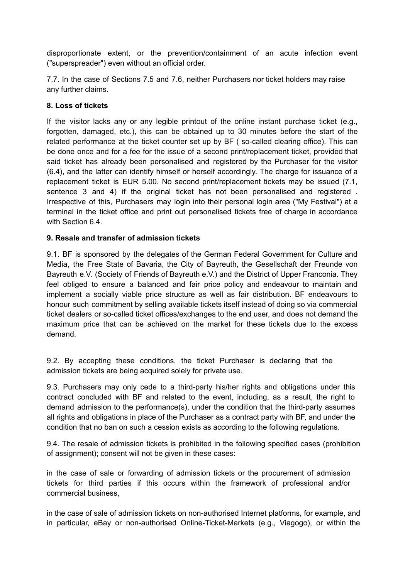disproportionate extent, or the prevention/containment of an acute infection event ("superspreader") even without an official order.

7.7. In the case of Sections 7.5 and 7.6, neither Purchasers nor ticket holders may raise any further claims.

#### **8. Loss of tickets**

If the visitor lacks any or any legible printout of the online instant purchase ticket (e.g., forgotten, damaged, etc.), this can be obtained up to 30 minutes before the start of the related performance at the ticket counter set up by BF ( so-called clearing office). This can be done once and for a fee for the issue of a second print/replacement ticket, provided that said ticket has already been personalised and registered by the Purchaser for the visitor (6.4), and the latter can identify himself or herself accordingly. The charge for issuance of a replacement ticket is EUR 5.00. No second print/replacement tickets may be issued (7.1, sentence 3 and 4) if the original ticket has not been personalised and registered . Irrespective of this, Purchasers may login into their personal login area ("My Festival") at a terminal in the ticket office and print out personalised tickets free of charge in accordance with Section 6.4.

## **9. Resale and transfer of admission tickets**

9.1. BF is sponsored by the delegates of the German Federal Government for Culture and Media, the Free State of Bavaria, the City of Bayreuth, the Gesellschaft der Freunde von Bayreuth e.V. (Society of Friends of Bayreuth e.V.) and the District of Upper Franconia. They feel obliged to ensure a balanced and fair price policy and endeavour to maintain and implement a socially viable price structure as well as fair distribution. BF endeavours to honour such commitment by selling available tickets itself instead of doing so via commercial ticket dealers or so-called ticket offices/exchanges to the end user, and does not demand the maximum price that can be achieved on the market for these tickets due to the excess demand.

9.2. By accepting these conditions, the ticket Purchaser is declaring that the admission tickets are being acquired solely for private use.

9.3. Purchasers may only cede to a third-party his/her rights and obligations under this contract concluded with BF and related to the event, including, as a result, the right to demand admission to the performance(s), under the condition that the third-party assumes all rights and obligations in place of the Purchaser as a contract party with BF, and under the condition that no ban on such a cession exists as according to the following regulations.

9.4. The resale of admission tickets is prohibited in the following specified cases (prohibition of assignment); consent will not be given in these cases:

in the case of sale or forwarding of admission tickets or the procurement of admission tickets for third parties if this occurs within the framework of professional and/or commercial business,

in the case of sale of admission tickets on non-authorised Internet platforms, for example, and in particular, eBay or non-authorised Online-Ticket-Markets (e.g., Viagogo), or within the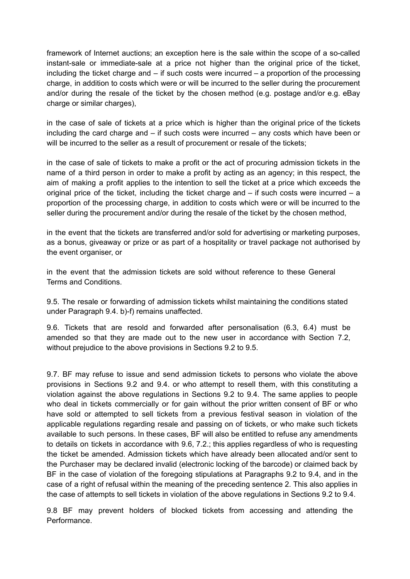framework of Internet auctions; an exception here is the sale within the scope of a so-called instant-sale or immediate-sale at a price not higher than the original price of the ticket, including the ticket charge and – if such costs were incurred – a proportion of the processing charge, in addition to costs which were or will be incurred to the seller during the procurement and/or during the resale of the ticket by the chosen method (e.g. postage and/or e.g. eBay charge or similar charges),

in the case of sale of tickets at a price which is higher than the original price of the tickets including the card charge and – if such costs were incurred – any costs which have been or will be incurred to the seller as a result of procurement or resale of the tickets;

in the case of sale of tickets to make a profit or the act of procuring admission tickets in the name of a third person in order to make a profit by acting as an agency; in this respect, the aim of making a profit applies to the intention to sell the ticket at a price which exceeds the original price of the ticket, including the ticket charge and  $-$  if such costs were incurred  $-$  a proportion of the processing charge, in addition to costs which were or will be incurred to the seller during the procurement and/or during the resale of the ticket by the chosen method,

in the event that the tickets are transferred and/or sold for advertising or marketing purposes, as a bonus, giveaway or prize or as part of a hospitality or travel package not authorised by the event organiser, or

in the event that the admission tickets are sold without reference to these General Terms and Conditions.

9.5. The resale or forwarding of admission tickets whilst maintaining the conditions stated under Paragraph 9.4. b)-f) remains unaffected.

9.6. Tickets that are resold and forwarded after personalisation (6.3, 6.4) must be amended so that they are made out to the new user in accordance with Section 7.2, without prejudice to the above provisions in Sections 9.2 to 9.5.

9.7. BF may refuse to issue and send admission tickets to persons who violate the above provisions in Sections 9.2 and 9.4. or who attempt to resell them, with this constituting a violation against the above regulations in Sections 9.2 to 9.4. The same applies to people who deal in tickets commercially or for gain without the prior written consent of BF or who have sold or attempted to sell tickets from a previous festival season in violation of the applicable regulations regarding resale and passing on of tickets, or who make such tickets available to such persons. In these cases, BF will also be entitled to refuse any amendments to details on tickets in accordance with 9.6, 7.2.; this applies regardless of who is requesting the ticket be amended. Admission tickets which have already been allocated and/or sent to the Purchaser may be declared invalid (electronic locking of the barcode) or claimed back by BF in the case of violation of the foregoing stipulations at Paragraphs 9.2 to 9.4, and in the case of a right of refusal within the meaning of the preceding sentence 2. This also applies in the case of attempts to sell tickets in violation of the above regulations in Sections 9.2 to 9.4.

9.8 BF may prevent holders of blocked tickets from accessing and attending the Performance.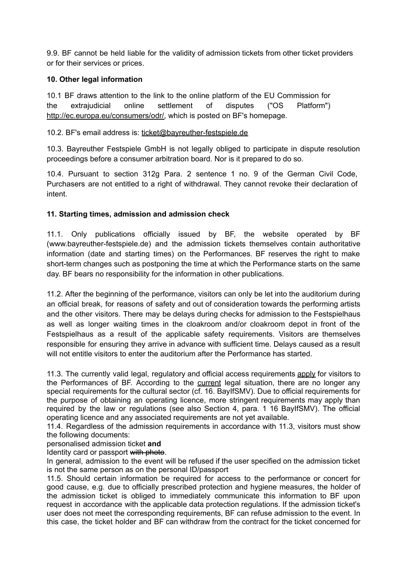9.9. BF cannot be held liable for the validity of admission tickets from other ticket providers or for their services or prices.

## **10. Other legal information**

10.1 BF draws attention to the link to the online platform of the EU Commission for the extrajudicial online settlement of disputes ("OS Platform") [http://ec.europa.eu/consumers/odr/,](http://ec.europa.eu/consumers/odr/) which is posted on BF's homepage.

#### 10.2. BF's email address is: [ticket@bayreuther-festspiele.de](mailto:ticket@bayreuther-festspiele.de)

10.3. Bayreuther Festspiele GmbH is not legally obliged to participate in dispute resolution proceedings before a consumer arbitration board. Nor is it prepared to do so.

10.4. Pursuant to section 312g Para. 2 sentence 1 no. 9 of the German Civil Code, Purchasers are not entitled to a right of withdrawal. They cannot revoke their declaration of intent.

## **11. Starting times, admission and admission check**

11.1. Only publications officially issued by BF, the website operated by BF (www.bayreuther-festspiele.de) and the admission tickets themselves contain authoritative information (date and starting times) on the Performances. BF reserves the right to make short-term changes such as postponing the time at which the Performance starts on the same day. BF bears no responsibility for the information in other publications.

11.2. After the beginning of the performance, visitors can only be let into the auditorium during an official break, for reasons of safety and out of consideration towards the performing artists and the other visitors. There may be delays during checks for admission to the Festspielhaus as well as longer waiting times in the cloakroom and/or cloakroom depot in front of the Festspielhaus as a result of the applicable safety requirements. Visitors are themselves responsible for ensuring they arrive in advance with sufficient time. Delays caused as a result will not entitle visitors to enter the auditorium after the Performance has started

11.3. The currently valid legal, regulatory and official access requirements apply for visitors to the Performances of BF. According to the current legal situation, there are no longer any special requirements for the cultural sector (cf. 16. BayIfSMV). Due to official requirements for the purpose of obtaining an operating licence, more stringent requirements may apply than required by the law or regulations (see also Section 4, para. 1 16 BayIfSMV). The official operating licence and any associated requirements are not yet available.

11.4. Regardless of the admission requirements in accordance with 11.3, visitors must show the following documents:

personalised admission ticket **and**

Identity card or passport with photo.

In general, admission to the event will be refused if the user specified on the admission ticket is not the same person as on the personal ID/passport

11.5. Should certain information be required for access to the performance or concert for good cause, e.g. due to officially prescribed protection and hygiene measures, the holder of the admission ticket is obliged to immediately communicate this information to BF upon request in accordance with the applicable data protection regulations. If the admission ticket's user does not meet the corresponding requirements, BF can refuse admission to the event. In this case, the ticket holder and BF can withdraw from the contract for the ticket concerned for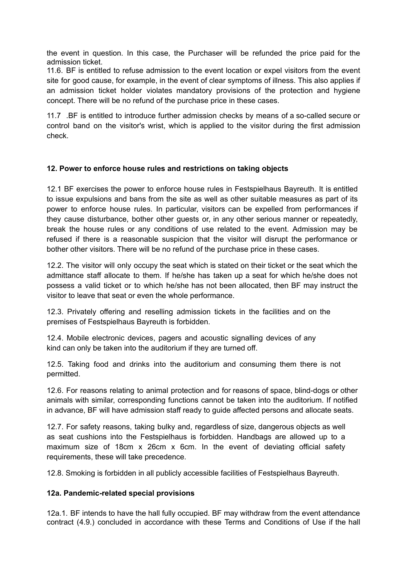the event in question. In this case, the Purchaser will be refunded the price paid for the admission ticket.

11.6. BF is entitled to refuse admission to the event location or expel visitors from the event site for good cause, for example, in the event of clear symptoms of illness. This also applies if an admission ticket holder violates mandatory provisions of the protection and hygiene concept. There will be no refund of the purchase price in these cases.

11.7 .BF is entitled to introduce further admission checks by means of a so-called secure or control band on the visitor's wrist, which is applied to the visitor during the first admission check.

## **12. Power to enforce house rules and restrictions on taking objects**

12.1 BF exercises the power to enforce house rules in Festspielhaus Bayreuth. It is entitled to issue expulsions and bans from the site as well as other suitable measures as part of its power to enforce house rules. In particular, visitors can be expelled from performances if they cause disturbance, bother other guests or, in any other serious manner or repeatedly, break the house rules or any conditions of use related to the event. Admission may be refused if there is a reasonable suspicion that the visitor will disrupt the performance or bother other visitors. There will be no refund of the purchase price in these cases.

12.2. The visitor will only occupy the seat which is stated on their ticket or the seat which the admittance staff allocate to them. If he/she has taken up a seat for which he/she does not possess a valid ticket or to which he/she has not been allocated, then BF may instruct the visitor to leave that seat or even the whole performance.

12.3. Privately offering and reselling admission tickets in the facilities and on the premises of Festspielhaus Bayreuth is forbidden.

12.4. Mobile electronic devices, pagers and acoustic signalling devices of any kind can only be taken into the auditorium if they are turned off.

12.5. Taking food and drinks into the auditorium and consuming them there is not permitted.

12.6. For reasons relating to animal protection and for reasons of space, blind-dogs or other animals with similar, corresponding functions cannot be taken into the auditorium. If notified in advance, BF will have admission staff ready to guide affected persons and allocate seats.

12.7. For safety reasons, taking bulky and, regardless of size, dangerous objects as well as seat cushions into the Festspielhaus is forbidden. Handbags are allowed up to a maximum size of 18cm x 26cm x 6cm. In the event of deviating official safety requirements, these will take precedence.

12.8. Smoking is forbidden in all publicly accessible facilities of Festspielhaus Bayreuth.

# **12a. Pandemic-related special provisions**

12a.1. BF intends to have the hall fully occupied. BF may withdraw from the event attendance contract (4.9.) concluded in accordance with these Terms and Conditions of Use if the hall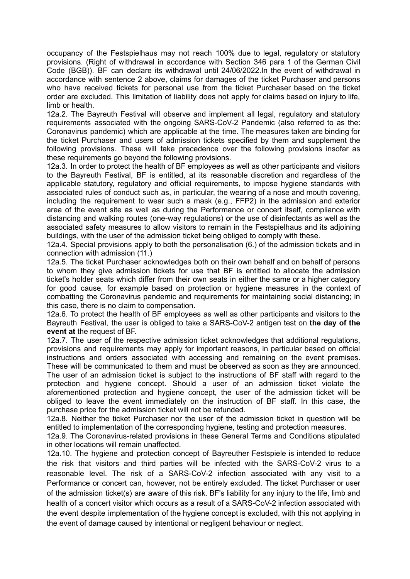occupancy of the Festspielhaus may not reach 100% due to legal, regulatory or statutory provisions. (Right of withdrawal in accordance with Section 346 para 1 of the German Civil Code (BGB)). BF can declare its withdrawal until 24/06/2022.In the event of withdrawal in accordance with sentence 2 above, claims for damages of the ticket Purchaser and persons who have received tickets for personal use from the ticket Purchaser based on the ticket order are excluded. This limitation of liability does not apply for claims based on injury to life, limb or health.

12a.2. The Bayreuth Festival will observe and implement all legal, regulatory and statutory requirements associated with the ongoing SARS-CoV-2 Pandemic (also referred to as the: Coronavirus pandemic) which are applicable at the time. The measures taken are binding for the ticket Purchaser and users of admission tickets specified by them and supplement the following provisions. These will take precedence over the following provisions insofar as these requirements go beyond the following provisions.

12a.3. In order to protect the health of BF employees as well as other participants and visitors to the Bayreuth Festival, BF is entitled, at its reasonable discretion and regardless of the applicable statutory, regulatory and official requirements, to impose hygiene standards with associated rules of conduct such as, in particular, the wearing of a nose and mouth covering, including the requirement to wear such a mask (e.g., FFP2) in the admission and exterior area of the event site as well as during the Performance or concert itself, compliance with distancing and walking routes (one-way regulations) or the use of disinfectants as well as the associated safety measures to allow visitors to remain in the Festspielhaus and its adjoining buildings, with the user of the admission ticket being obliged to comply with these.

12a.4. Special provisions apply to both the personalisation (6.) of the admission tickets and in connection with admission (11.)

12a.5. The ticket Purchaser acknowledges both on their own behalf and on behalf of persons to whom they give admission tickets for use that BF is entitled to allocate the admission ticket's holder seats which differ from their own seats in either the same or a higher category for good cause, for example based on protection or hygiene measures in the context of combatting the Coronavirus pandemic and requirements for maintaining social distancing; in this case, there is no claim to compensation.

12a.6. To protect the health of BF employees as well as other participants and visitors to the Bayreuth Festival, the user is obliged to take a SARS-CoV-2 antigen test on **the day of the event at** the request of BF.

12a.7. The user of the respective admission ticket acknowledges that additional regulations, provisions and requirements may apply for important reasons, in particular based on official instructions and orders associated with accessing and remaining on the event premises. These will be communicated to them and must be observed as soon as they are announced. The user of an admission ticket is subject to the instructions of BF staff with regard to the protection and hygiene concept. Should a user of an admission ticket violate the aforementioned protection and hygiene concept, the user of the admission ticket will be obliged to leave the event immediately on the instruction of BF staff. In this case, the purchase price for the admission ticket will not be refunded.

12a.8. Neither the ticket Purchaser nor the user of the admission ticket in question will be entitled to implementation of the corresponding hygiene, testing and protection measures.

12a.9. The Coronavirus-related provisions in these General Terms and Conditions stipulated in other locations will remain unaffected.

12a.10. The hygiene and protection concept of Bayreuther Festspiele is intended to reduce the risk that visitors and third parties will be infected with the SARS-CoV-2 virus to a reasonable level. The risk of a SARS-CoV-2 infection associated with any visit to a Performance or concert can, however, not be entirely excluded. The ticket Purchaser or user of the admission ticket(s) are aware of this risk. BF's liability for any injury to the life, limb and health of a concert visitor which occurs as a result of a SARS-CoV-2 infection associated with the event despite implementation of the hygiene concept is excluded, with this not applying in the event of damage caused by intentional or negligent behaviour or neglect.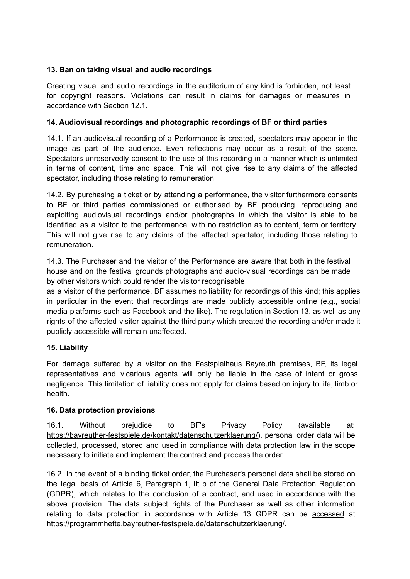# **13. Ban on taking visual and audio recordings**

Creating visual and audio recordings in the auditorium of any kind is forbidden, not least for copyright reasons. Violations can result in claims for damages or measures in accordance with Section 12.1.

# **14. Audiovisual recordings and photographic recordings of BF or third parties**

14.1. If an audiovisual recording of a Performance is created, spectators may appear in the image as part of the audience. Even reflections may occur as a result of the scene. Spectators unreservedly consent to the use of this recording in a manner which is unlimited in terms of content, time and space. This will not give rise to any claims of the affected spectator, including those relating to remuneration.

14.2. By purchasing a ticket or by attending a performance, the visitor furthermore consents to BF or third parties commissioned or authorised by BF producing, reproducing and exploiting audiovisual recordings and/or photographs in which the visitor is able to be identified as a visitor to the performance, with no restriction as to content, term or territory. This will not give rise to any claims of the affected spectator, including those relating to remuneration.

14.3. The Purchaser and the visitor of the Performance are aware that both in the festival house and on the festival grounds photographs and audio-visual recordings can be made by other visitors which could render the visitor recognisable

as a visitor of the performance. BF assumes no liability for recordings of this kind; this applies in particular in the event that recordings are made publicly accessible online (e.g., social media platforms such as Facebook and the like). The regulation in Section 13. as well as any rights of the affected visitor against the third party which created the recording and/or made it publicly accessible will remain unaffected.

#### **15. Liability**

For damage suffered by a visitor on the Festspielhaus Bayreuth premises, BF, its legal representatives and vicarious agents will only be liable in the case of intent or gross negligence. This limitation of liability does not apply for claims based on injury to life, limb or health.

# **16. Data protection provisions**

16.1. Without prejudice to BF's Privacy Policy (available at: [https://bayreuther-festspiele.de/kontakt/datenschutzerklaerung/\)](https://bayreuther-festspiele.de/kontakt/datenschutzerklaerung), personal order data will be collected, processed, stored and used in compliance with data protection law in the scope necessary to initiate and implement the contract and process the order.

16.2. In the event of a binding ticket order, the Purchaser's personal data shall be stored on the legal basis of Article 6, Paragraph 1, lit b of the General Data Protection Regulation (GDPR), which relates to the conclusion of a contract, and used in accordance with the above provision. The data subject rights of the Purchaser as well as other information relating to data protection in accordance with Article 13 GDPR can be [accessed](https://bayreuther-festspiele.de/kontakt/datenschutzerklaerung) at https://programmhefte.bayreuther-festspiele.de/datenschutzerklaerung/.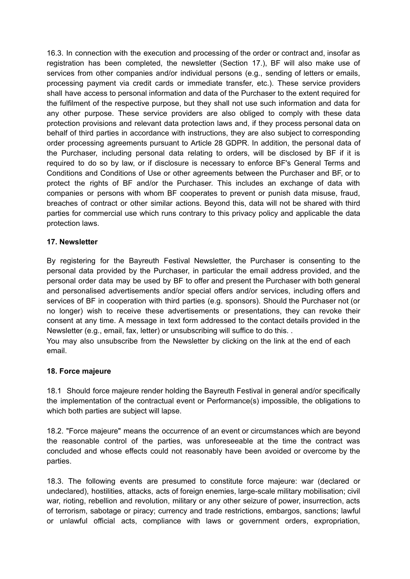16.3. In connection with the execution and processing of the order or contract and, insofar as registration has been completed, the newsletter (Section 17.), BF will also make use of services from other companies and/or individual persons (e.g., sending of letters or emails, processing payment via credit cards or immediate transfer, etc.). These service providers shall have access to personal information and data of the Purchaser to the extent required for the fulfilment of the respective purpose, but they shall not use such information and data for any other purpose. These service providers are also obliged to comply with these data protection provisions and relevant data protection laws and, if they process personal data on behalf of third parties in accordance with instructions, they are also subject to corresponding order processing agreements pursuant to Article 28 GDPR. In addition, the personal data of the Purchaser, including personal data relating to orders, will be disclosed by BF if it is required to do so by law, or if disclosure is necessary to enforce BF's General Terms and Conditions and Conditions of Use or other agreements between the Purchaser and BF, or to protect the rights of BF and/or the Purchaser. This includes an exchange of data with companies or persons with whom BF cooperates to prevent or punish data misuse, fraud, breaches of contract or other similar actions. Beyond this, data will not be shared with third parties for commercial use which runs contrary to this privacy policy and applicable the data protection laws.

## **17. Newsletter**

By registering for the Bayreuth Festival Newsletter, the Purchaser is consenting to the personal data provided by the Purchaser, in particular the email address provided, and the personal order data may be used by BF to offer and present the Purchaser with both general and personalised advertisements and/or special offers and/or services, including offers and services of BF in cooperation with third parties (e.g. sponsors). Should the Purchaser not (or no longer) wish to receive these advertisements or presentations, they can revoke their consent at any time. A message in text form addressed to the contact details provided in the Newsletter (e.g., email, fax, letter) or unsubscribing will suffice to do this. .

You may also unsubscribe from the Newsletter by clicking on the link at the end of each email.

#### **18. Force majeure**

18.1 Should force majeure render holding the Bayreuth Festival in general and/or specifically the implementation of the contractual event or Performance(s) impossible, the obligations to which both parties are subject will lapse.

18.2. "Force majeure" means the occurrence of an event or circumstances which are beyond the reasonable control of the parties, was unforeseeable at the time the contract was concluded and whose effects could not reasonably have been avoided or overcome by the parties.

18.3. The following events are presumed to constitute force majeure: war (declared or undeclared), hostilities, attacks, acts of foreign enemies, large-scale military mobilisation; civil war, rioting, rebellion and revolution, military or any other seizure of power, insurrection, acts of terrorism, sabotage or piracy; currency and trade restrictions, embargos, sanctions; lawful or unlawful official acts, compliance with laws or government orders, expropriation,